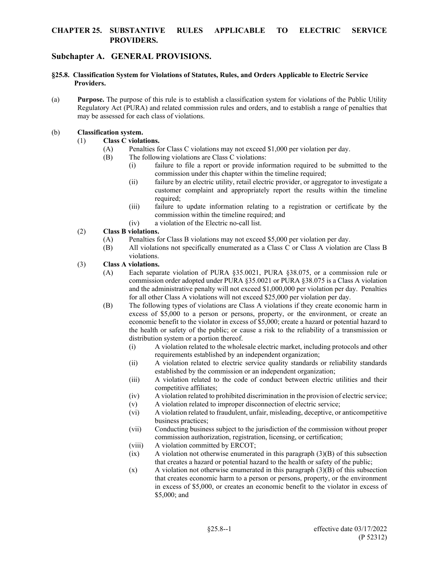## **CHAPTER 25. SUBSTANTIVE RULES APPLICABLE TO ELECTRIC SERVICE PROVIDERS.**

# **Subchapter A. GENERAL PROVISIONS.**

#### **§25.8. Classification System for Violations of Statutes, Rules, and Orders Applicable to Electric Service Providers.**

(a) **Purpose.** The purpose of this rule is to establish a classification system for violations of the Public Utility Regulatory Act (PURA) and related commission rules and orders, and to establish a range of penalties that may be assessed for each class of violations.

### (b) **Classification system.**

- (1) **Class C violations.**
	- (A) Penalties for Class C violations may not exceed \$1,000 per violation per day.
	- (B) The following violations are Class C violations:
		- (i) failure to file a report or provide information required to be submitted to the commission under this chapter within the timeline required;
		- (ii) failure by an electric utility, retail electric provider, or aggregator to investigate a customer complaint and appropriately report the results within the timeline required;
		- (iii) failure to update information relating to a registration or certificate by the commission within the timeline required; and
		- (iv) a violation of the Electric no-call list.

## (2) **Class B violations.**

- (A) Penalties for Class B violations may not exceed \$5,000 per violation per day.
- (B) All violations not specifically enumerated as a Class C or Class A violation are Class B violations.

### (3) **Class A violations.**

- (A) Each separate violation of PURA §35.0021, PURA §38.075, or a commission rule or commission order adopted under PURA §35.0021 or PURA §38.075 is a Class A violation and the administrative penalty will not exceed \$1,000,000 per violation per day. Penalties for all other Class A violations will not exceed \$25,000 per violation per day.
- (B) The following types of violations are Class A violations if they create economic harm in excess of \$5,000 to a person or persons, property, or the environment, or create an economic benefit to the violator in excess of \$5,000; create a hazard or potential hazard to the health or safety of the public; or cause a risk to the reliability of a transmission or distribution system or a portion thereof.
	- (i) A violation related to the wholesale electric market, including protocols and other requirements established by an independent organization;
	- (ii) A violation related to electric service quality standards or reliability standards established by the commission or an independent organization;
	- (iii) A violation related to the code of conduct between electric utilities and their competitive affiliates;
	- (iv) A violation related to prohibited discrimination in the provision of electric service;
	- (v) A violation related to improper disconnection of electric service;
	- (vi) A violation related to fraudulent, unfair, misleading, deceptive, or anticompetitive business practices;
	- (vii) Conducting business subject to the jurisdiction of the commission without proper commission authorization, registration, licensing, or certification;
	- (viii) A violation committed by ERCOT;
	- (ix) A violation not otherwise enumerated in this paragraph (3)(B) of this subsection that creates a hazard or potential hazard to the health or safety of the public;
	- $(x)$  A violation not otherwise enumerated in this paragraph  $(3)(B)$  of this subsection that creates economic harm to a person or persons, property, or the environment in excess of \$5,000, or creates an economic benefit to the violator in excess of \$5,000; and